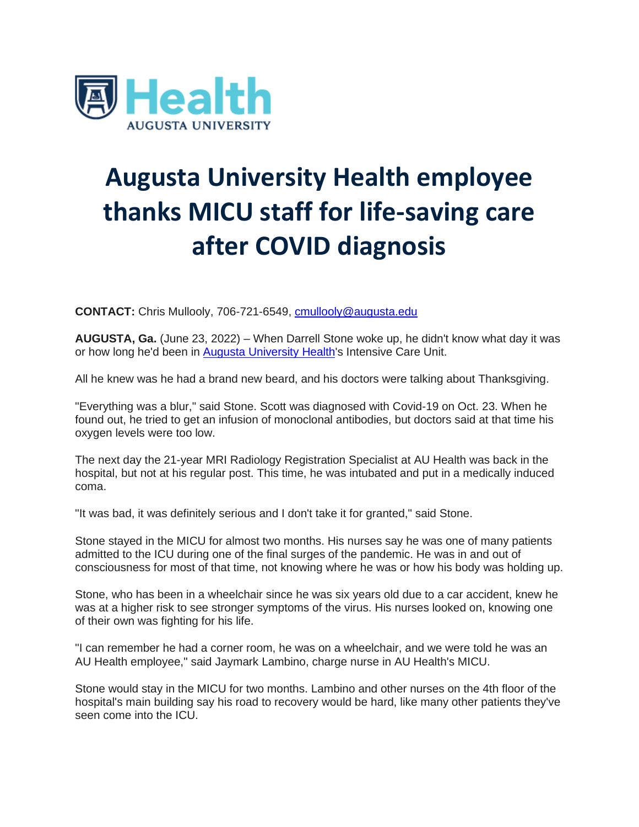

## **Augusta University Health employee thanks MICU staff for life-saving care after COVID diagnosis**

**CONTACT:** Chris Mullooly, 706-721-6549, [cmullooly@augusta.edu](mailto:cmullooly@augusta.edu)

**AUGUSTA, Ga.** (June 23, 2022) – When Darrell Stone woke up, he didn't know what day it was or how long he'd been in [Augusta University](https://u7061146.ct.sendgrid.net/ls/click?upn=4tNED-2FM8iDZJQyQ53jATUToetTEwgfpsO3LgT6kAXBcBWTj406nHGcoE-2FOUKVIlLxCKZ_eGIjsu2lTELDChcxrWIy7Xj-2BJR9cLt3WVNgz9L7qKlVxDiHh-2Fjn6Rl-2F9WwAKsKIShM-2FF-2B1sNvRvZK2aXQ1N6ZiJnKttDI5JSiQH1ww-2BYUtPyLpNdY-2FmXIrlrV6JEiqTViceW3AHFOefF9SXNJ7hL7H2AVGJbAKREykCDh6azWHe5uJWjl7Aw4D6XxlSo666CH5kKxMpKhel-2FWvHdN28vpSnd66BhM5qdVjuKMNqxRrx5wOqXIKhFONTRjY2aRySzCEsqNqf3aKLNPnl1mHy-2FFGieBMWy7ba-2FjkysVaXAUO-2FUUXYNe4m1iY7524AKwxOVtU7rv9RuKNKOfAKgALSjfsjHX-2Fx4nHl7WTilHG5rqq0-3D) Health's Intensive Care Unit.

All he knew was he had a brand new beard, and his doctors were talking about Thanksgiving.

"Everything was a blur," said Stone. Scott was diagnosed with Covid-19 on Oct. 23. When he found out, he tried to get an infusion of monoclonal antibodies, but doctors said at that time his oxygen levels were too low.

The next day the 21-year MRI Radiology Registration Specialist at AU Health was back in the hospital, but not at his regular post. This time, he was intubated and put in a medically induced coma.

"It was bad, it was definitely serious and I don't take it for granted," said Stone.

Stone stayed in the MICU for almost two months. His nurses say he was one of many patients admitted to the ICU during one of the final surges of the pandemic. He was in and out of consciousness for most of that time, not knowing where he was or how his body was holding up.

Stone, who has been in a wheelchair since he was six years old due to a car accident, knew he was at a higher risk to see stronger symptoms of the virus. His nurses looked on, knowing one of their own was fighting for his life.

"I can remember he had a corner room, he was on a wheelchair, and we were told he was an AU Health employee," said Jaymark Lambino, charge nurse in AU Health's MICU.

Stone would stay in the MICU for two months. Lambino and other nurses on the 4th floor of the hospital's main building say his road to recovery would be hard, like many other patients they've seen come into the **ICU**.